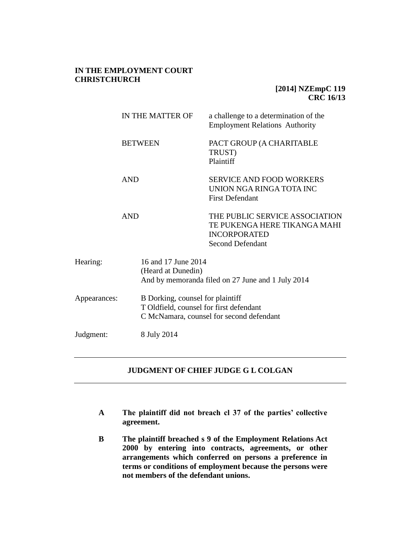## **IN THE EMPLOYMENT COURT CHRISTCHURCH**

# **[2014] NZEmpC 119 CRC 16/13**

|              | IN THE MATTER OF   | a challenge to a determination of the<br><b>Employment Relations Authority</b>                                          |  |
|--------------|--------------------|-------------------------------------------------------------------------------------------------------------------------|--|
|              | <b>BETWEEN</b>     | PACT GROUP (A CHARITABLE<br>TRUST)<br>Plaintiff                                                                         |  |
|              | <b>AND</b>         | <b>SERVICE AND FOOD WORKERS</b><br>UNION NGA RINGA TOTA INC<br><b>First Defendant</b>                                   |  |
|              | <b>AND</b>         | THE PUBLIC SERVICE ASSOCIATION<br>TE PUKENGA HERE TIKANGA MAHI<br><b>INCORPORATED</b><br><b>Second Defendant</b>        |  |
| Hearing:     | (Heard at Dunedin) | 16 and 17 June 2014<br>And by memoranda filed on 27 June and 1 July 2014                                                |  |
| Appearances: |                    | B Dorking, counsel for plaintiff<br>T Oldfield, counsel for first defendant<br>C McNamara, counsel for second defendant |  |
| Judgment:    | 8 July 2014        |                                                                                                                         |  |

# **JUDGMENT OF CHIEF JUDGE G L COLGAN**

- **A The plaintiff did not breach cl 37 of the parties' collective agreement.**
- **B The plaintiff breached s 9 of the Employment Relations Act 2000 by entering into contracts, agreements, or other arrangements which conferred on persons a preference in terms or conditions of employment because the persons were not members of the defendant unions.**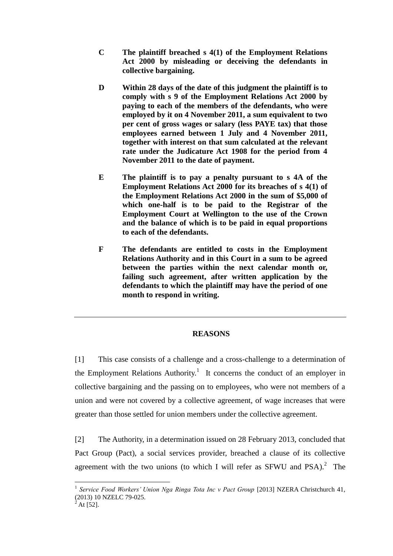- **C The plaintiff breached s 4(1) of the Employment Relations Act 2000 by misleading or deceiving the defendants in collective bargaining.**
- **D Within 28 days of the date of this judgment the plaintiff is to comply with s 9 of the Employment Relations Act 2000 by paying to each of the members of the defendants, who were employed by it on 4 November 2011, a sum equivalent to two per cent of gross wages or salary (less PAYE tax) that those employees earned between 1 July and 4 November 2011, together with interest on that sum calculated at the relevant rate under the Judicature Act 1908 for the period from 4 November 2011 to the date of payment.**
- **E The plaintiff is to pay a penalty pursuant to s 4A of the Employment Relations Act 2000 for its breaches of s 4(1) of the Employment Relations Act 2000 in the sum of \$5,000 of which one-half is to be paid to the Registrar of the Employment Court at Wellington to the use of the Crown and the balance of which is to be paid in equal proportions to each of the defendants.**
- **F The defendants are entitled to costs in the Employment Relations Authority and in this Court in a sum to be agreed between the parties within the next calendar month or, failing such agreement, after written application by the defendants to which the plaintiff may have the period of one month to respond in writing.**

## **REASONS**

[1] This case consists of a challenge and a cross-challenge to a determination of the Employment Relations Authority.<sup>1</sup> It concerns the conduct of an employer in collective bargaining and the passing on to employees, who were not members of a union and were not covered by a collective agreement, of wage increases that were greater than those settled for union members under the collective agreement.

[2] The Authority, in a determination issued on 28 February 2013, concluded that Pact Group (Pact), a social services provider, breached a clause of its collective agreement with the two unions (to which I will refer as SFWU and  $PSA$ ).<sup>2</sup> The

<sup>1</sup> *Service Food Workers' Union Nga Ringa Tota Inc v Pact Group* [2013] NZERA Christchurch 41, (2013) 10 NZELC 79-025.

At  $[52]$ .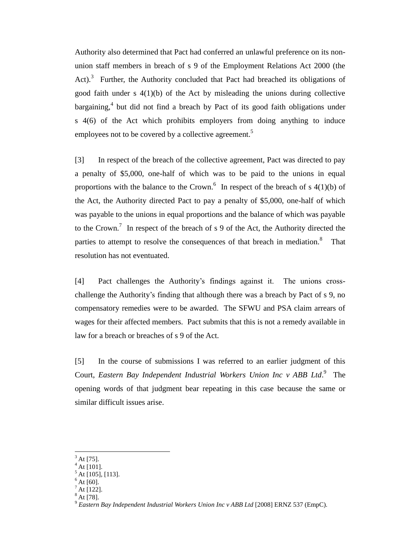Authority also determined that Pact had conferred an unlawful preference on its nonunion staff members in breach of s 9 of the Employment Relations Act 2000 (the Act).<sup>3</sup> Further, the Authority concluded that Pact had breached its obligations of good faith under s 4(1)(b) of the Act by misleading the unions during collective bargaining,<sup>4</sup> but did not find a breach by Pact of its good faith obligations under s 4(6) of the Act which prohibits employers from doing anything to induce employees not to be covered by a collective agreement.<sup>5</sup>

[3] In respect of the breach of the collective agreement, Pact was directed to pay a penalty of \$5,000, one-half of which was to be paid to the unions in equal proportions with the balance to the Crown.<sup>6</sup> In respect of the breach of s  $4(1)(b)$  of the Act, the Authority directed Pact to pay a penalty of \$5,000, one-half of which was payable to the unions in equal proportions and the balance of which was payable to the Crown.<sup>7</sup> In respect of the breach of s 9 of the Act, the Authority directed the parties to attempt to resolve the consequences of that breach in mediation.<sup>8</sup> That resolution has not eventuated.

[4] Pact challenges the Authority's findings against it. The unions crosschallenge the Authority's finding that although there was a breach by Pact of s 9, no compensatory remedies were to be awarded. The SFWU and PSA claim arrears of wages for their affected members. Pact submits that this is not a remedy available in law for a breach or breaches of s 9 of the Act.

[5] In the course of submissions I was referred to an earlier judgment of this Court, *Eastern Bay Independent Industrial Workers Union Inc v ABB Ltd.*<sup>9</sup> The opening words of that judgment bear repeating in this case because the same or similar difficult issues arise.

At [75].

 $^{4}$  At [101].

At [105], [113].

At  $[60]$ .

 $A$ t [122].

 $^{3}$  At [78].

<sup>9</sup> *Eastern Bay Independent Industrial Workers Union Inc v ABB Ltd* [2008] ERNZ 537 (EmpC).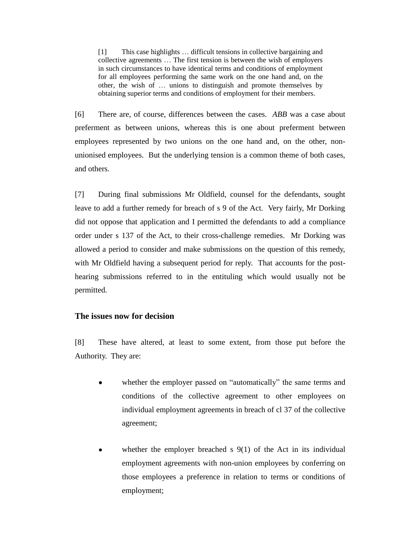[1] This case highlights … difficult tensions in collective bargaining and collective agreements … The first tension is between the wish of employers in such circumstances to have identical terms and conditions of employment for all employees performing the same work on the one hand and, on the other, the wish of … unions to distinguish and promote themselves by obtaining superior terms and conditions of employment for their members.

[6] There are, of course, differences between the cases. *ABB* was a case about preferment as between unions, whereas this is one about preferment between employees represented by two unions on the one hand and, on the other, nonunionised employees. But the underlying tension is a common theme of both cases, and others.

[7] During final submissions Mr Oldfield, counsel for the defendants, sought leave to add a further remedy for breach of s 9 of the Act. Very fairly, Mr Dorking did not oppose that application and I permitted the defendants to add a compliance order under s 137 of the Act, to their cross-challenge remedies. Mr Dorking was allowed a period to consider and make submissions on the question of this remedy, with Mr Oldfield having a subsequent period for reply. That accounts for the posthearing submissions referred to in the entituling which would usually not be permitted.

### **The issues now for decision**

[8] These have altered, at least to some extent, from those put before the Authority. They are:

- whether the employer passed on "automatically" the same terms and  $\bullet$ conditions of the collective agreement to other employees on individual employment agreements in breach of cl 37 of the collective agreement;
- whether the employer breached s 9(1) of the Act in its individual employment agreements with non-union employees by conferring on those employees a preference in relation to terms or conditions of employment;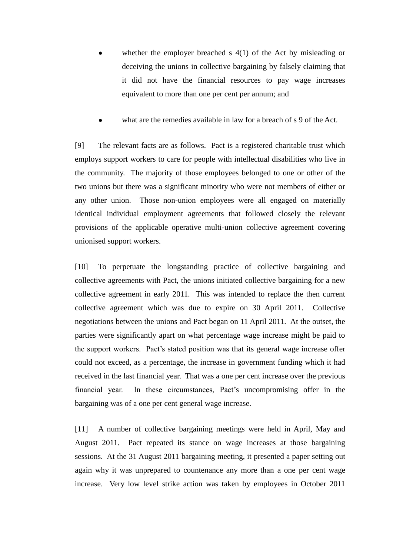- whether the employer breached s 4(1) of the Act by misleading or deceiving the unions in collective bargaining by falsely claiming that it did not have the financial resources to pay wage increases equivalent to more than one per cent per annum; and
- what are the remedies available in law for a breach of s 9 of the Act.

[9] The relevant facts are as follows. Pact is a registered charitable trust which employs support workers to care for people with intellectual disabilities who live in the community. The majority of those employees belonged to one or other of the two unions but there was a significant minority who were not members of either or any other union. Those non-union employees were all engaged on materially identical individual employment agreements that followed closely the relevant provisions of the applicable operative multi-union collective agreement covering unionised support workers.

[10] To perpetuate the longstanding practice of collective bargaining and collective agreements with Pact, the unions initiated collective bargaining for a new collective agreement in early 2011. This was intended to replace the then current collective agreement which was due to expire on 30 April 2011. Collective negotiations between the unions and Pact began on 11 April 2011. At the outset, the parties were significantly apart on what percentage wage increase might be paid to the support workers. Pact's stated position was that its general wage increase offer could not exceed, as a percentage, the increase in government funding which it had received in the last financial year. That was a one per cent increase over the previous financial year. In these circumstances, Pact's uncompromising offer in the bargaining was of a one per cent general wage increase.

[11] A number of collective bargaining meetings were held in April, May and August 2011. Pact repeated its stance on wage increases at those bargaining sessions. At the 31 August 2011 bargaining meeting, it presented a paper setting out again why it was unprepared to countenance any more than a one per cent wage increase. Very low level strike action was taken by employees in October 2011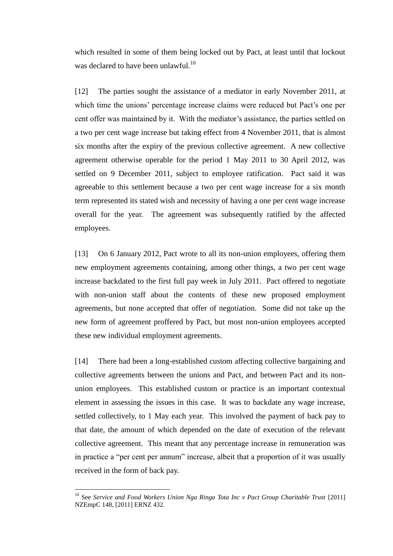which resulted in some of them being locked out by Pact, at least until that lockout was declared to have been unlawful. $^{10}$ 

[12] The parties sought the assistance of a mediator in early November 2011, at which time the unions' percentage increase claims were reduced but Pact's one per cent offer was maintained by it. With the mediator's assistance, the parties settled on a two per cent wage increase but taking effect from 4 November 2011, that is almost six months after the expiry of the previous collective agreement. A new collective agreement otherwise operable for the period 1 May 2011 to 30 April 2012, was settled on 9 December 2011, subject to employee ratification. Pact said it was agreeable to this settlement because a two per cent wage increase for a six month term represented its stated wish and necessity of having a one per cent wage increase overall for the year. The agreement was subsequently ratified by the affected employees.

[13] On 6 January 2012, Pact wrote to all its non-union employees, offering them new employment agreements containing, among other things, a two per cent wage increase backdated to the first full pay week in July 2011. Pact offered to negotiate with non-union staff about the contents of these new proposed employment agreements, but none accepted that offer of negotiation. Some did not take up the new form of agreement proffered by Pact, but most non-union employees accepted these new individual employment agreements.

[14] There had been a long-established custom affecting collective bargaining and collective agreements between the unions and Pact, and between Pact and its nonunion employees. This established custom or practice is an important contextual element in assessing the issues in this case. It was to backdate any wage increase, settled collectively, to 1 May each year. This involved the payment of back pay to that date, the amount of which depended on the date of execution of the relevant collective agreement. This meant that any percentage increase in remuneration was in practice a "per cent per annum" increase, albeit that a proportion of it was usually received in the form of back pay.

<sup>&</sup>lt;sup>10</sup> See *Service and Food Workers Union Nga Ringa Tota Inc v Pact Group Charitable Trust* [2011] NZEmpC 148, [2011] ERNZ 432.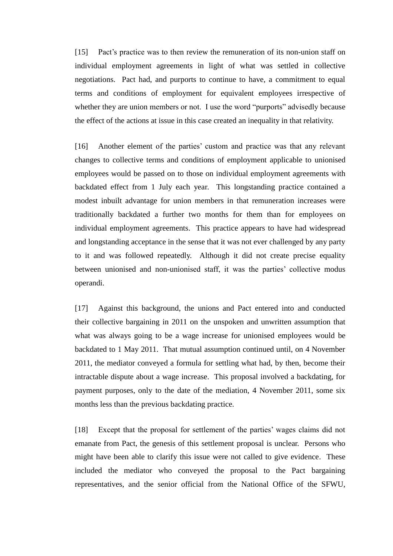[15] Pact's practice was to then review the remuneration of its non-union staff on individual employment agreements in light of what was settled in collective negotiations. Pact had, and purports to continue to have, a commitment to equal terms and conditions of employment for equivalent employees irrespective of whether they are union members or not. I use the word "purports" advisedly because the effect of the actions at issue in this case created an inequality in that relativity.

[16] Another element of the parties' custom and practice was that any relevant changes to collective terms and conditions of employment applicable to unionised employees would be passed on to those on individual employment agreements with backdated effect from 1 July each year. This longstanding practice contained a modest inbuilt advantage for union members in that remuneration increases were traditionally backdated a further two months for them than for employees on individual employment agreements. This practice appears to have had widespread and longstanding acceptance in the sense that it was not ever challenged by any party to it and was followed repeatedly. Although it did not create precise equality between unionised and non-unionised staff, it was the parties' collective modus operandi.

[17] Against this background, the unions and Pact entered into and conducted their collective bargaining in 2011 on the unspoken and unwritten assumption that what was always going to be a wage increase for unionised employees would be backdated to 1 May 2011. That mutual assumption continued until, on 4 November 2011, the mediator conveyed a formula for settling what had, by then, become their intractable dispute about a wage increase. This proposal involved a backdating, for payment purposes, only to the date of the mediation, 4 November 2011, some six months less than the previous backdating practice.

[18] Except that the proposal for settlement of the parties' wages claims did not emanate from Pact, the genesis of this settlement proposal is unclear. Persons who might have been able to clarify this issue were not called to give evidence. These included the mediator who conveyed the proposal to the Pact bargaining representatives, and the senior official from the National Office of the SFWU,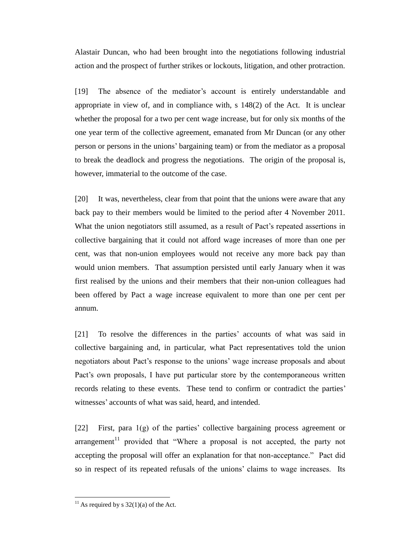Alastair Duncan, who had been brought into the negotiations following industrial action and the prospect of further strikes or lockouts, litigation, and other protraction.

[19] The absence of the mediator's account is entirely understandable and appropriate in view of, and in compliance with, s 148(2) of the Act. It is unclear whether the proposal for a two per cent wage increase, but for only six months of the one year term of the collective agreement, emanated from Mr Duncan (or any other person or persons in the unions' bargaining team) or from the mediator as a proposal to break the deadlock and progress the negotiations. The origin of the proposal is, however, immaterial to the outcome of the case.

[20] It was, nevertheless, clear from that point that the unions were aware that any back pay to their members would be limited to the period after 4 November 2011. What the union negotiators still assumed, as a result of Pact's repeated assertions in collective bargaining that it could not afford wage increases of more than one per cent, was that non-union employees would not receive any more back pay than would union members. That assumption persisted until early January when it was first realised by the unions and their members that their non-union colleagues had been offered by Pact a wage increase equivalent to more than one per cent per annum.

[21] To resolve the differences in the parties' accounts of what was said in collective bargaining and, in particular, what Pact representatives told the union negotiators about Pact's response to the unions' wage increase proposals and about Pact's own proposals, I have put particular store by the contemporaneous written records relating to these events. These tend to confirm or contradict the parties' witnesses' accounts of what was said, heard, and intended.

[22] First, para 1(g) of the parties' collective bargaining process agreement or arrangement<sup>11</sup> provided that "Where a proposal is not accepted, the party not accepting the proposal will offer an explanation for that non-acceptance." Pact did so in respect of its repeated refusals of the unions' claims to wage increases. Its

<sup>&</sup>lt;sup>11</sup> As required by s  $32(1)(a)$  of the Act.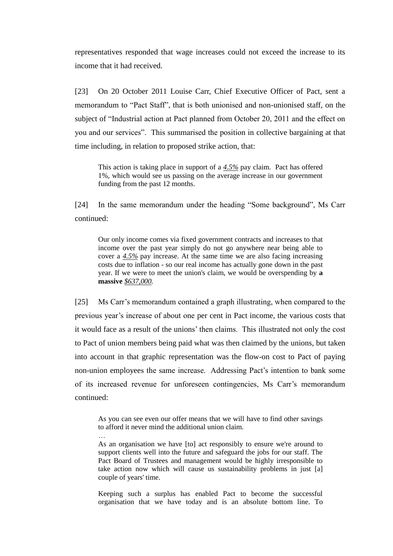representatives responded that wage increases could not exceed the increase to its income that it had received.

[23] On 20 October 2011 Louise Carr, Chief Executive Officer of Pact, sent a memorandum to "Pact Staff", that is both unionised and non-unionised staff, on the subject of "Industrial action at Pact planned from October 20, 2011 and the effect on you and our services". This summarised the position in collective bargaining at that time including, in relation to proposed strike action, that:

This action is taking place in support of a *4.5%* pay claim. Pact has offered 1%, which would see us passing on the average increase in our government funding from the past 12 months.

[24] In the same memorandum under the heading "Some background", Ms Carr continued:

Our only income comes via fixed government contracts and increases to that income over the past year simply do not go anywhere near being able to cover a *4.5%* pay increase. At the same time we are also facing increasing costs due to inflation - so our real income has actually gone down in the past year. If we were to meet the union's claim, we would be overspending by **a massive** *\$637,000.*

[25] Ms Carr's memorandum contained a graph illustrating, when compared to the previous year's increase of about one per cent in Pact income, the various costs that it would face as a result of the unions' then claims. This illustrated not only the cost to Pact of union members being paid what was then claimed by the unions, but taken into account in that graphic representation was the flow-on cost to Pact of paying non-union employees the same increase. Addressing Pact's intention to bank some of its increased revenue for unforeseen contingencies, Ms Carr's memorandum continued:

As you can see even our offer means that we will have to find other savings to afford it never mind the additional union claim.

…

As an organisation we have [to] act responsibly to ensure we're around to support clients well into the future and safeguard the jobs for our staff. The Pact Board of Trustees and management would be highly irresponsible to take action now which will cause us sustainability problems in just [a] couple of years' time.

Keeping such a surplus has enabled Pact to become the successful organisation that we have today and is an absolute bottom line. To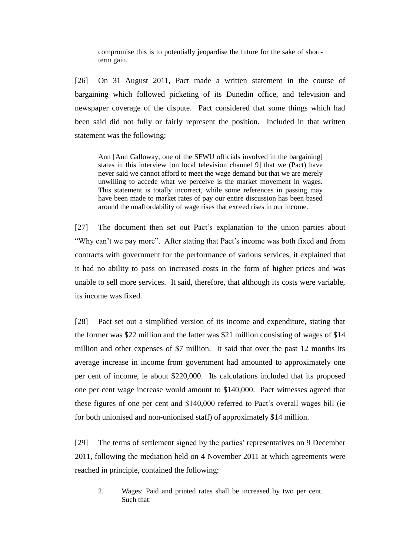compromise this is to potentially jeopardise the future for the sake of shortterm gain.

[26] On 31 August 2011, Pact made a written statement in the course of bargaining which followed picketing of its Dunedin office, and television and newspaper coverage of the dispute. Pact considered that some things which had been said did not fully or fairly represent the position. Included in that written statement was the following:

Ann [Ann Galloway, one of the SFWU officials involved in the bargaining] states in this interview [on local television channel 9] that we (Pact) have never said we cannot afford to meet the wage demand but that we are merely unwilling to accede what we perceive is the market movement in wages. This statement is totally incorrect, while some references in passing may have been made to market rates of pay our entire discussion has been based around the unaffordability of wage rises that exceed rises in our income.

[27] The document then set out Pact's explanation to the union parties about "Why can't we pay more". After stating that Pact's income was both fixed and from contracts with government for the performance of various services, it explained that it had no ability to pass on increased costs in the form of higher prices and was unable to sell more services. It said, therefore, that although its costs were variable, its income was fixed.

[28] Pact set out a simplified version of its income and expenditure, stating that the former was \$22 million and the latter was \$21 million consisting of wages of \$14 million and other expenses of \$7 million. It said that over the past 12 months its average increase in income from government had amounted to approximately one per cent of income, ie about \$220,000. Its calculations included that its proposed one per cent wage increase would amount to \$140,000. Pact witnesses agreed that these figures of one per cent and \$140,000 referred to Pact's overall wages bill (ie for both unionised and non-unionised staff) of approximately \$14 million.

[29] The terms of settlement signed by the parties' representatives on 9 December 2011, following the mediation held on 4 November 2011 at which agreements were reached in principle, contained the following:

2. Wages: Paid and printed rates shall be increased by two per cent. Such that: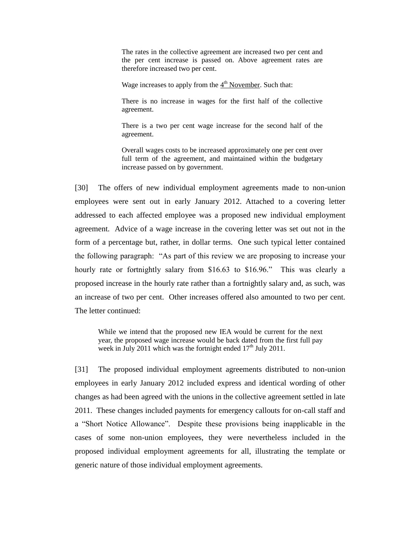The rates in the collective agreement are increased two per cent and the per cent increase is passed on. Above agreement rates are therefore increased two per cent.

Wage increases to apply from the  $4<sup>th</sup>$  November. Such that:

There is no increase in wages for the first half of the collective agreement.

There is a two per cent wage increase for the second half of the agreement.

Overall wages costs to be increased approximately one per cent over full term of the agreement, and maintained within the budgetary increase passed on by government.

[30] The offers of new individual employment agreements made to non-union employees were sent out in early January 2012. Attached to a covering letter addressed to each affected employee was a proposed new individual employment agreement. Advice of a wage increase in the covering letter was set out not in the form of a percentage but, rather, in dollar terms. One such typical letter contained the following paragraph: "As part of this review we are proposing to increase your hourly rate or fortnightly salary from \$16.63 to \$16.96." This was clearly a proposed increase in the hourly rate rather than a fortnightly salary and, as such, was an increase of two per cent. Other increases offered also amounted to two per cent. The letter continued:

While we intend that the proposed new IEA would be current for the next year, the proposed wage increase would be back dated from the first full pay week in July 2011 which was the fortnight ended  $17<sup>th</sup>$  July 2011.

[31] The proposed individual employment agreements distributed to non-union employees in early January 2012 included express and identical wording of other changes as had been agreed with the unions in the collective agreement settled in late 2011. These changes included payments for emergency callouts for on-call staff and a "Short Notice Allowance". Despite these provisions being inapplicable in the cases of some non-union employees, they were nevertheless included in the proposed individual employment agreements for all, illustrating the template or generic nature of those individual employment agreements.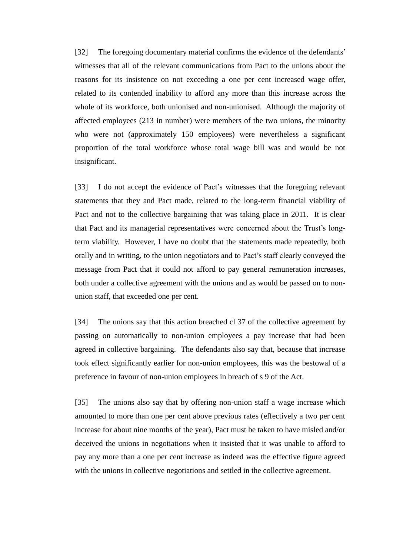[32] The foregoing documentary material confirms the evidence of the defendants' witnesses that all of the relevant communications from Pact to the unions about the reasons for its insistence on not exceeding a one per cent increased wage offer, related to its contended inability to afford any more than this increase across the whole of its workforce, both unionised and non-unionised. Although the majority of affected employees (213 in number) were members of the two unions, the minority who were not (approximately 150 employees) were nevertheless a significant proportion of the total workforce whose total wage bill was and would be not insignificant.

[33] I do not accept the evidence of Pact's witnesses that the foregoing relevant statements that they and Pact made, related to the long-term financial viability of Pact and not to the collective bargaining that was taking place in 2011. It is clear that Pact and its managerial representatives were concerned about the Trust's longterm viability. However, I have no doubt that the statements made repeatedly, both orally and in writing, to the union negotiators and to Pact's staff clearly conveyed the message from Pact that it could not afford to pay general remuneration increases, both under a collective agreement with the unions and as would be passed on to nonunion staff, that exceeded one per cent.

[34] The unions say that this action breached cl 37 of the collective agreement by passing on automatically to non-union employees a pay increase that had been agreed in collective bargaining. The defendants also say that, because that increase took effect significantly earlier for non-union employees, this was the bestowal of a preference in favour of non-union employees in breach of s 9 of the Act.

[35] The unions also say that by offering non-union staff a wage increase which amounted to more than one per cent above previous rates (effectively a two per cent increase for about nine months of the year), Pact must be taken to have misled and/or deceived the unions in negotiations when it insisted that it was unable to afford to pay any more than a one per cent increase as indeed was the effective figure agreed with the unions in collective negotiations and settled in the collective agreement.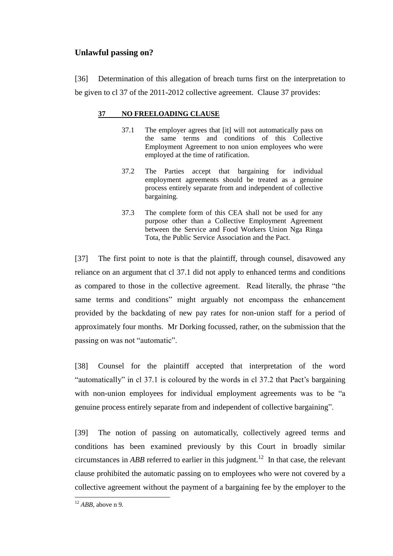# **Unlawful passing on?**

[36] Determination of this allegation of breach turns first on the interpretation to be given to cl 37 of the 2011-2012 collective agreement. Clause 37 provides:

## **37 NO FREELOADING CLAUSE**

- 37.1 The employer agrees that [it] will not automatically pass on the same terms and conditions of this Collective Employment Agreement to non union employees who were employed at the time of ratification.
- 37.2 The Parties accept that bargaining for individual employment agreements should be treated as a genuine process entirely separate from and independent of collective bargaining.
- 37.3 The complete form of this CEA shall not be used for any purpose other than a Collective Employment Agreement between the Service and Food Workers Union Nga Ringa Tota, the Public Service Association and the Pact.

[37] The first point to note is that the plaintiff, through counsel, disavowed any reliance on an argument that cl 37.1 did not apply to enhanced terms and conditions as compared to those in the collective agreement. Read literally, the phrase "the same terms and conditions" might arguably not encompass the enhancement provided by the backdating of new pay rates for non-union staff for a period of approximately four months. Mr Dorking focussed, rather, on the submission that the passing on was not "automatic".

[38] Counsel for the plaintiff accepted that interpretation of the word "automatically" in cl 37.1 is coloured by the words in cl 37.2 that Pact's bargaining with non-union employees for individual employment agreements was to be "a genuine process entirely separate from and independent of collective bargaining".

[39] The notion of passing on automatically, collectively agreed terms and conditions has been examined previously by this Court in broadly similar circumstances in *ABB* referred to earlier in this judgment.<sup>12</sup> In that case, the relevant clause prohibited the automatic passing on to employees who were not covered by a collective agreement without the payment of a bargaining fee by the employer to the

 $12$  *ABB*, above n 9.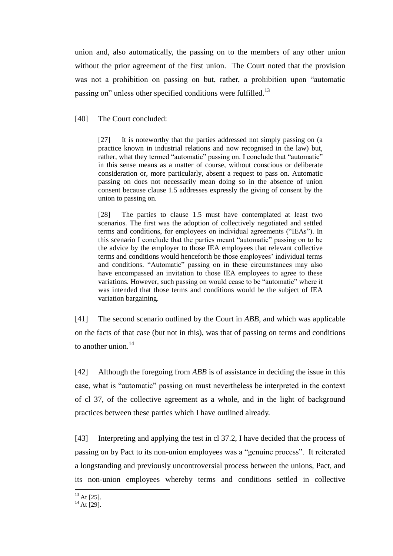union and, also automatically, the passing on to the members of any other union without the prior agreement of the first union. The Court noted that the provision was not a prohibition on passing on but, rather, a prohibition upon "automatic passing on" unless other specified conditions were fulfilled.<sup>13</sup>

[40] The Court concluded:

[27] It is noteworthy that the parties addressed not simply passing on (a practice known in industrial relations and now recognised in the law) but, rather, what they termed "automatic" passing on. I conclude that "automatic" in this sense means as a matter of course, without conscious or deliberate consideration or, more particularly, absent a request to pass on. Automatic passing on does not necessarily mean doing so in the absence of union consent because clause 1.5 addresses expressly the giving of consent by the union to passing on.

[28] The parties to clause 1.5 must have contemplated at least two scenarios. The first was the adoption of collectively negotiated and settled terms and conditions, for employees on individual agreements ("IEAs"). In this scenario I conclude that the parties meant "automatic" passing on to be the advice by the employer to those IEA employees that relevant collective terms and conditions would henceforth be those employees' individual terms and conditions. "Automatic" passing on in these circumstances may also have encompassed an invitation to those IEA employees to agree to these variations. However, such passing on would cease to be "automatic" where it was intended that those terms and conditions would be the subject of IEA variation bargaining.

[41] The second scenario outlined by the Court in *ABB*, and which was applicable on the facts of that case (but not in this), was that of passing on terms and conditions to another union.<sup>14</sup>

[42] Although the foregoing from *ABB* is of assistance in deciding the issue in this case, what is "automatic" passing on must nevertheless be interpreted in the context of cl 37, of the collective agreement as a whole, and in the light of background practices between these parties which I have outlined already.

[43] Interpreting and applying the test in cl 37.2, I have decided that the process of passing on by Pact to its non-union employees was a "genuine process". It reiterated a longstanding and previously uncontroversial process between the unions, Pact, and its non-union employees whereby terms and conditions settled in collective

 $\overline{a}$  $^{13}$  At [25].

 $14$  At [29].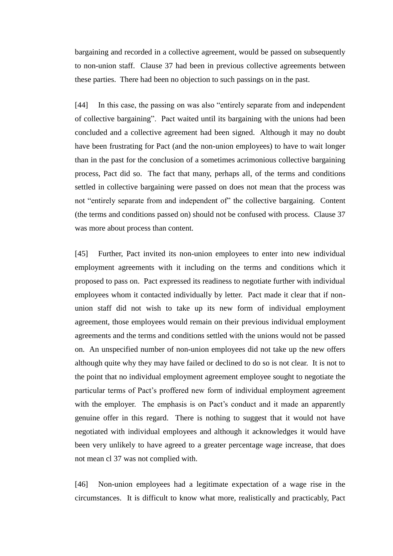bargaining and recorded in a collective agreement, would be passed on subsequently to non-union staff. Clause 37 had been in previous collective agreements between these parties. There had been no objection to such passings on in the past.

[44] In this case, the passing on was also "entirely separate from and independent of collective bargaining". Pact waited until its bargaining with the unions had been concluded and a collective agreement had been signed. Although it may no doubt have been frustrating for Pact (and the non-union employees) to have to wait longer than in the past for the conclusion of a sometimes acrimonious collective bargaining process, Pact did so. The fact that many, perhaps all, of the terms and conditions settled in collective bargaining were passed on does not mean that the process was not "entirely separate from and independent of" the collective bargaining. Content (the terms and conditions passed on) should not be confused with process. Clause 37 was more about process than content.

[45] Further, Pact invited its non-union employees to enter into new individual employment agreements with it including on the terms and conditions which it proposed to pass on. Pact expressed its readiness to negotiate further with individual employees whom it contacted individually by letter. Pact made it clear that if nonunion staff did not wish to take up its new form of individual employment agreement, those employees would remain on their previous individual employment agreements and the terms and conditions settled with the unions would not be passed on. An unspecified number of non-union employees did not take up the new offers although quite why they may have failed or declined to do so is not clear. It is not to the point that no individual employment agreement employee sought to negotiate the particular terms of Pact's proffered new form of individual employment agreement with the employer. The emphasis is on Pact's conduct and it made an apparently genuine offer in this regard. There is nothing to suggest that it would not have negotiated with individual employees and although it acknowledges it would have been very unlikely to have agreed to a greater percentage wage increase, that does not mean cl 37 was not complied with.

[46] Non-union employees had a legitimate expectation of a wage rise in the circumstances. It is difficult to know what more, realistically and practicably, Pact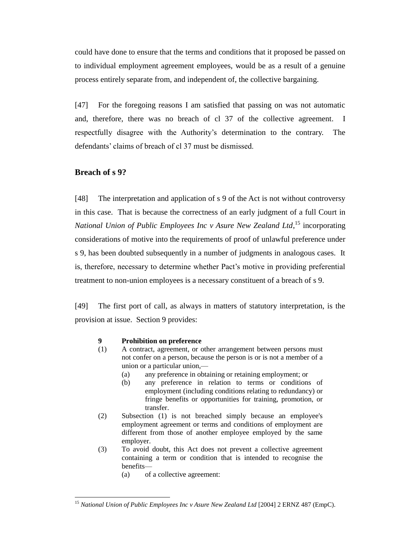could have done to ensure that the terms and conditions that it proposed be passed on to individual employment agreement employees, would be as a result of a genuine process entirely separate from, and independent of, the collective bargaining.

[47] For the foregoing reasons I am satisfied that passing on was not automatic and, therefore, there was no breach of cl 37 of the collective agreement. I respectfully disagree with the Authority's determination to the contrary. The defendants' claims of breach of cl 37 must be dismissed.

# **Breach of s 9?**

 $\overline{a}$ 

[48] The interpretation and application of s 9 of the Act is not without controversy in this case. That is because the correctness of an early judgment of a full Court in *National Union of Public Employees Inc v Asure New Zealand Ltd*, <sup>15</sup> incorporating considerations of motive into the requirements of proof of unlawful preference under s 9, has been doubted subsequently in a number of judgments in analogous cases. It is, therefore, necessary to determine whether Pact's motive in providing preferential treatment to non-union employees is a necessary constituent of a breach of s 9.

[49] The first port of call, as always in matters of statutory interpretation, is the provision at issue. Section 9 provides:

#### **9 Prohibition on preference**

- (1) A contract, agreement, or other arrangement between persons must not confer on a person, because the person is or is not a member of a union or a particular union,—
	- (a) any preference in obtaining or retaining employment; or
	- (b) any preference in relation to terms or conditions of employment (including conditions relating to redundancy) or fringe benefits or opportunities for training, promotion, or transfer.
- (2) Subsection (1) is not breached simply because an employee's employment agreement or terms and conditions of employment are different from those of another employee employed by the same employer.
- (3) To avoid doubt, this Act does not prevent a collective agreement containing a term or condition that is intended to recognise the benefits—
	- (a) of a collective agreement:

<sup>15</sup> *National Union of Public Employees Inc v Asure New Zealand Ltd* [2004] 2 ERNZ 487 (EmpC).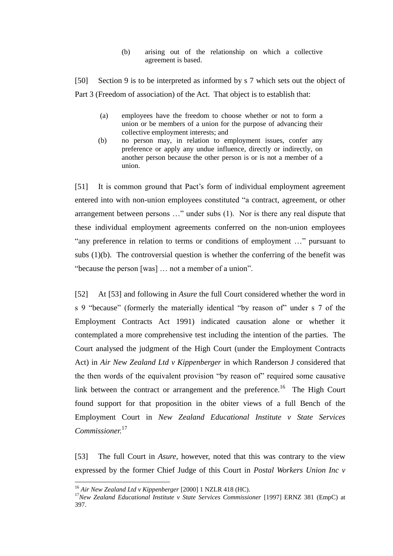(b) arising out of the relationship on which a collective agreement is based.

[50] Section 9 is to be interpreted as informed by s 7 which sets out the object of Part 3 (Freedom of association) of the Act. That object is to establish that:

- (a) employees have the freedom to choose whether or not to form a union or be members of a union for the purpose of advancing their collective employment interests; and
- (b) no person may, in relation to employment issues, confer any preference or apply any undue influence, directly or indirectly, on another person because the other person is or is not a member of a union.

[51] It is common ground that Pact's form of individual employment agreement entered into with non-union employees constituted "a contract, agreement, or other arrangement between persons …" under subs (1). Nor is there any real dispute that these individual employment agreements conferred on the non-union employees "any preference in relation to terms or conditions of employment …" pursuant to subs  $(1)(b)$ . The controversial question is whether the conferring of the benefit was "because the person [was] … not a member of a union".

[52] At [53] and following in *Asure* the full Court considered whether the word in s 9 "because" (formerly the materially identical "by reason of" under s 7 of the Employment Contracts Act 1991) indicated causation alone or whether it contemplated a more comprehensive test including the intention of the parties. The Court analysed the judgment of the High Court (under the Employment Contracts Act) in *Air New Zealand Ltd v Kippenberger* in which Randerson J considered that the then words of the equivalent provision "by reason of" required some causative link between the contract or arrangement and the preference.<sup>16</sup> The High Court found support for that proposition in the obiter views of a full Bench of the Employment Court in *New Zealand Educational Institute v State Services Commissioner.* 17

[53] The full Court in *Asure,* however, noted that this was contrary to the view expressed by the former Chief Judge of this Court in *Postal Workers Union Inc v* 

<sup>16</sup> *Air New Zealand Ltd v Kippenberger* [2000] 1 NZLR 418 (HC).

<sup>&</sup>lt;sup>17</sup>New Zealand Educational Institute v State Services Commissioner [1997] ERNZ 381 (EmpC) at 397.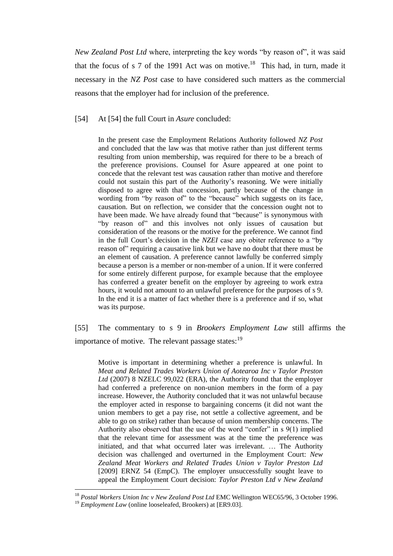*New Zealand Post Ltd* where, interpreting the key words "by reason of", it was said that the focus of s 7 of the 1991 Act was on motive.<sup>18</sup> This had, in turn, made it necessary in the *NZ Post* case to have considered such matters as the commercial reasons that the employer had for inclusion of the preference.

[54] At [54] the full Court in *Asure* concluded:

In the present case the Employment Relations Authority followed *NZ Post* and concluded that the law was that motive rather than just different terms resulting from union membership, was required for there to be a breach of the preference provisions. Counsel for Asure appeared at one point to concede that the relevant test was causation rather than motive and therefore could not sustain this part of the Authority's reasoning. We were initially disposed to agree with that concession, partly because of the change in wording from "by reason of" to the "because" which suggests on its face, causation. But on reflection, we consider that the concession ought not to have been made. We have already found that "because" is synonymous with "by reason of" and this involves not only issues of causation but consideration of the reasons or the motive for the preference. We cannot find in the full Court's decision in the *NZEI* case any obiter reference to a "by reason of" requiring a causative link but we have no doubt that there must be an element of causation. A preference cannot lawfully be conferred simply because a person is a member or non-member of a union. If it were conferred for some entirely different purpose, for example because that the employee has conferred a greater benefit on the employer by agreeing to work extra hours, it would not amount to an unlawful preference for the purposes of s 9. In the end it is a matter of fact whether there is a preference and if so, what was its purpose.

[55] The commentary to s 9 in *Brookers Employment Law* still affirms the importance of motive. The relevant passage states:<sup>19</sup>

Motive is important in determining whether a preference is unlawful. In *Meat and Related Trades Workers Union of Aotearoa Inc v Taylor Preston Ltd* (2007) 8 NZELC 99,022 (ERA), the Authority found that the employer had conferred a preference on non-union members in the form of a pay increase. However, the Authority concluded that it was not unlawful because the employer acted in response to bargaining concerns (it did not want the union members to get a pay rise, not settle a collective agreement, and be able to go on strike) rather than because of union membership concerns. The Authority also observed that the use of the word "confer" in s 9(1) implied that the relevant time for assessment was at the time the preference was initiated, and that what occurred later was irrelevant. … The Authority decision was challenged and overturned in the Employment Court: *New Zealand Meat Workers and Related Trades Union v Taylor Preston Ltd* [2009] ERNZ 54 (EmpC). The employer unsuccessfully sought leave to appeal the Employment Court decision: *Taylor Preston Ltd v New Zealand* 

<sup>&</sup>lt;sup>18</sup> Postal Workers Union Inc v New Zealand Post Ltd EMC Wellington WEC65/96, 3 October 1996.

<sup>&</sup>lt;sup>19</sup> *Employment Law* (online looseleafed, Brookers) at [ER9.03].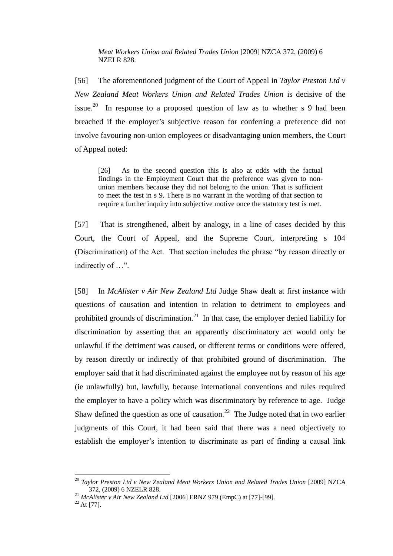*Meat Workers Union and Related Trades Union* [2009] NZCA 372, (2009) 6 NZELR 828.

[56] The aforementioned judgment of the Court of Appeal in *Taylor Preston Ltd v New Zealand Meat Workers Union and Related Trades Union* is decisive of the issue.<sup>20</sup> In response to a proposed question of law as to whether s 9 had been breached if the employer's subjective reason for conferring a preference did not involve favouring non-union employees or disadvantaging union members, the Court of Appeal noted:

[26] As to the second question this is also at odds with the factual findings in the Employment Court that the preference was given to nonunion members because they did not belong to the union. That is sufficient to meet the test in s 9. There is no warrant in the wording of that section to require a further inquiry into subjective motive once the statutory test is met.

[57] That is strengthened, albeit by analogy, in a line of cases decided by this Court, the Court of Appeal, and the Supreme Court, interpreting s 104 (Discrimination) of the Act. That section includes the phrase "by reason directly or indirectly of …".

[58] In *McAlister v Air New Zealand Ltd* Judge Shaw dealt at first instance with questions of causation and intention in relation to detriment to employees and prohibited grounds of discrimination.<sup>21</sup> In that case, the employer denied liability for discrimination by asserting that an apparently discriminatory act would only be unlawful if the detriment was caused, or different terms or conditions were offered, by reason directly or indirectly of that prohibited ground of discrimination. The employer said that it had discriminated against the employee not by reason of his age (ie unlawfully) but, lawfully, because international conventions and rules required the employer to have a policy which was discriminatory by reference to age. Judge Shaw defined the question as one of causation.<sup>22</sup> The Judge noted that in two earlier judgments of this Court, it had been said that there was a need objectively to establish the employer's intention to discriminate as part of finding a causal link

<sup>&</sup>lt;sup>20</sup> *Taylor Preston Ltd v New Zealand Meat Workers Union and Related Trades Union* [2009] NZCA 372, (2009) 6 NZELR 828.

<sup>21</sup> *McAlister v Air New Zealand Ltd* [2006] ERNZ 979 (EmpC) at [77]-[99].

 $22$  At [77].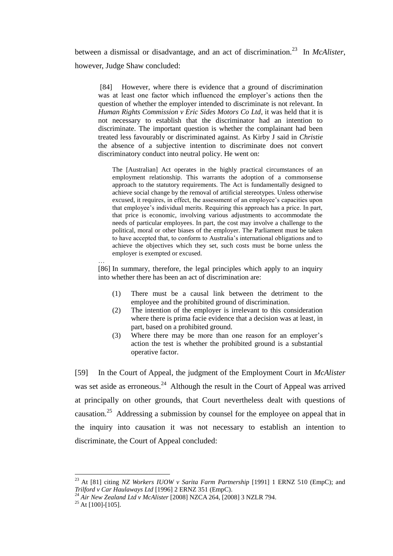between a dismissal or disadvantage, and an act of discrimination.<sup>23</sup> In *McAlister*, however, Judge Shaw concluded:

[84] However, where there is evidence that a ground of discrimination was at least one factor which influenced the employer's actions then the question of whether the employer intended to discriminate is not relevant. In *Human Rights Commission v Eric Sides Motors Co Ltd*, it was held that it is not necessary to establish that the discriminator had an intention to discriminate. The important question is whether the complainant had been treated less favourably or discriminated against. As Kirby J said in *Christie* the absence of a subjective intention to discriminate does not convert discriminatory conduct into neutral policy. He went on:

The [Australian] Act operates in the highly practical circumstances of an employment relationship. This warrants the adoption of a commonsense approach to the statutory requirements. The Act is fundamentally designed to achieve social change by the removal of artificial stereotypes. Unless otherwise excused, it requires, in effect, the assessment of an employee's capacities upon that employee's individual merits. Requiring this approach has a price. In part, that price is economic, involving various adjustments to accommodate the needs of particular employees. In part, the cost may involve a challenge to the political, moral or other biases of the employer. The Parliament must be taken to have accepted that, to conform to Australia's international obligations and to achieve the objectives which they set, such costs must be borne unless the employer is exempted or excused.

[86] In summary, therefore, the legal principles which apply to an inquiry into whether there has been an act of discrimination are:

- (1) There must be a causal link between the detriment to the employee and the prohibited ground of discrimination.
- (2) The intention of the employer is irrelevant to this consideration where there is prima facie evidence that a decision was at least, in part, based on a prohibited ground.
- (3) Where there may be more than one reason for an employer's action the test is whether the prohibited ground is a substantial operative factor.

[59] In the Court of Appeal, the judgment of the Employment Court in *McAlister*  was set aside as erroneous. $^{24}$  Although the result in the Court of Appeal was arrived at principally on other grounds, that Court nevertheless dealt with questions of causation.<sup>25</sup> Addressing a submission by counsel for the employee on appeal that in the inquiry into causation it was not necessary to establish an intention to discriminate, the Court of Appeal concluded:

 $\overline{a}$ 

…

<sup>&</sup>lt;sup>23</sup> At [81] citing *NZ Workers IUOW v Sarita Farm Partnership* [1991] 1 ERNZ 510 (EmpC); and *Trilford v Car Haulaways Ltd* [1996] 2 ERNZ 351 (EmpC).

<sup>24</sup> *Air New Zealand Ltd v McAlister* [2008] NZCA 264, [2008] 3 NZLR 794.

 $25$  At [100]-[105].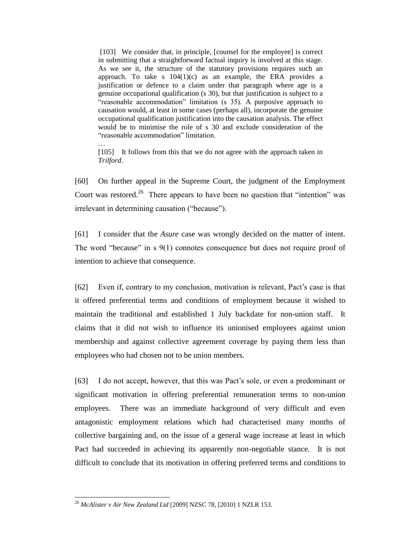[103] We consider that, in principle, [counsel for the employee] is correct in submitting that a straightforward factual inquiry is involved at this stage. As we see it, the structure of the statutory provisions requires such an approach. To take s  $104(1)(c)$  as an example, the ERA provides a justification or defence to a claim under that paragraph where age is a genuine occupational qualification (s 30), but that justification is subject to a "reasonable accommodation" limitation (s 35). A purposive approach to causation would, at least in some cases (perhaps all), incorporate the genuine occupational qualification justification into the causation analysis. The effect would be to minimise the role of s 30 and exclude consideration of the "reasonable accommodation" limitation.

… [105] It follows from this that we do not agree with the approach taken in *Trilford*.

[60] On further appeal in the Supreme Court, the judgment of the Employment Court was restored.<sup>26</sup> There appears to have been no question that "intention" was irrelevant in determining causation ("because").

[61] I consider that the *Asure* case was wrongly decided on the matter of intent. The word "because" in s 9(1) connotes consequence but does not require proof of intention to achieve that consequence.

[62] Even if, contrary to my conclusion, motivation is relevant, Pact's case is that it offered preferential terms and conditions of employment because it wished to maintain the traditional and established 1 July backdate for non-union staff. It claims that it did not wish to influence its unionised employees against union membership and against collective agreement coverage by paying them less than employees who had chosen not to be union members.

[63] I do not accept, however, that this was Pact's sole, or even a predominant or significant motivation in offering preferential remuneration terms to non-union employees. There was an immediate background of very difficult and even antagonistic employment relations which had characterised many months of collective bargaining and, on the issue of a general wage increase at least in which Pact had succeeded in achieving its apparently non-negotiable stance. It is not difficult to conclude that its motivation in offering preferred terms and conditions to

<sup>26</sup> *McAlister v Air New Zealand Ltd* [2009] NZSC 78, [2010] 1 NZLR 153.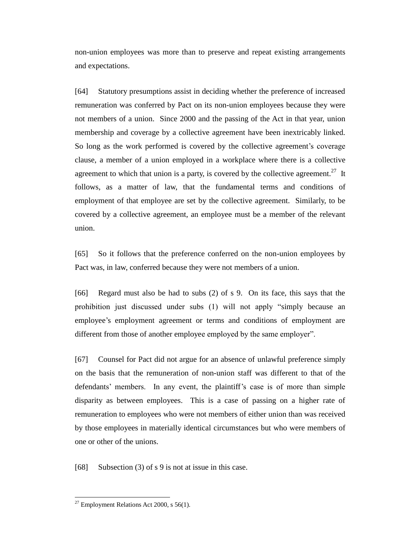non-union employees was more than to preserve and repeat existing arrangements and expectations.

[64] Statutory presumptions assist in deciding whether the preference of increased remuneration was conferred by Pact on its non-union employees because they were not members of a union. Since 2000 and the passing of the Act in that year, union membership and coverage by a collective agreement have been inextricably linked. So long as the work performed is covered by the collective agreement's coverage clause, a member of a union employed in a workplace where there is a collective agreement to which that union is a party, is covered by the collective agreement.<sup>27</sup> It follows, as a matter of law, that the fundamental terms and conditions of employment of that employee are set by the collective agreement. Similarly, to be covered by a collective agreement, an employee must be a member of the relevant union.

[65] So it follows that the preference conferred on the non-union employees by Pact was, in law, conferred because they were not members of a union.

[66] Regard must also be had to subs (2) of s 9. On its face, this says that the prohibition just discussed under subs (1) will not apply "simply because an employee's employment agreement or terms and conditions of employment are different from those of another employee employed by the same employer".

[67] Counsel for Pact did not argue for an absence of unlawful preference simply on the basis that the remuneration of non-union staff was different to that of the defendants' members. In any event, the plaintiff's case is of more than simple disparity as between employees. This is a case of passing on a higher rate of remuneration to employees who were not members of either union than was received by those employees in materially identical circumstances but who were members of one or other of the unions.

[68] Subsection (3) of s 9 is not at issue in this case.

 $27$  Employment Relations Act 2000, s 56(1).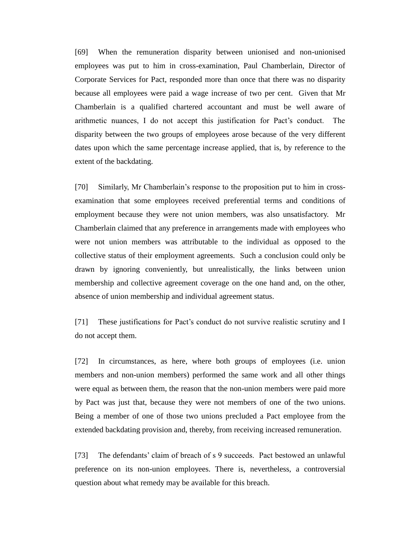[69] When the remuneration disparity between unionised and non-unionised employees was put to him in cross-examination, Paul Chamberlain, Director of Corporate Services for Pact, responded more than once that there was no disparity because all employees were paid a wage increase of two per cent. Given that Mr Chamberlain is a qualified chartered accountant and must be well aware of arithmetic nuances, I do not accept this justification for Pact's conduct. The disparity between the two groups of employees arose because of the very different dates upon which the same percentage increase applied, that is, by reference to the extent of the backdating.

[70] Similarly, Mr Chamberlain's response to the proposition put to him in crossexamination that some employees received preferential terms and conditions of employment because they were not union members, was also unsatisfactory. Mr Chamberlain claimed that any preference in arrangements made with employees who were not union members was attributable to the individual as opposed to the collective status of their employment agreements. Such a conclusion could only be drawn by ignoring conveniently, but unrealistically, the links between union membership and collective agreement coverage on the one hand and, on the other, absence of union membership and individual agreement status.

[71] These justifications for Pact's conduct do not survive realistic scrutiny and I do not accept them.

[72] In circumstances, as here, where both groups of employees (i.e. union members and non-union members) performed the same work and all other things were equal as between them, the reason that the non-union members were paid more by Pact was just that, because they were not members of one of the two unions. Being a member of one of those two unions precluded a Pact employee from the extended backdating provision and, thereby, from receiving increased remuneration.

[73] The defendants' claim of breach of s 9 succeeds. Pact bestowed an unlawful preference on its non-union employees. There is, nevertheless, a controversial question about what remedy may be available for this breach.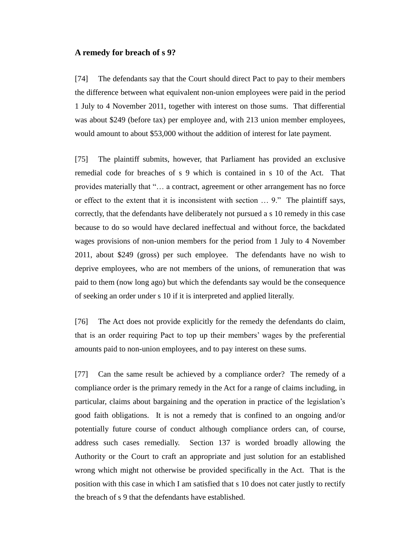#### **A remedy for breach of s 9?**

[74] The defendants say that the Court should direct Pact to pay to their members the difference between what equivalent non-union employees were paid in the period 1 July to 4 November 2011, together with interest on those sums. That differential was about \$249 (before tax) per employee and, with 213 union member employees, would amount to about \$53,000 without the addition of interest for late payment.

[75] The plaintiff submits, however, that Parliament has provided an exclusive remedial code for breaches of s 9 which is contained in s 10 of the Act. That provides materially that "… a contract, agreement or other arrangement has no force or effect to the extent that it is inconsistent with section … 9." The plaintiff says, correctly, that the defendants have deliberately not pursued a s 10 remedy in this case because to do so would have declared ineffectual and without force, the backdated wages provisions of non-union members for the period from 1 July to 4 November 2011, about \$249 (gross) per such employee. The defendants have no wish to deprive employees, who are not members of the unions, of remuneration that was paid to them (now long ago) but which the defendants say would be the consequence of seeking an order under s 10 if it is interpreted and applied literally.

[76] The Act does not provide explicitly for the remedy the defendants do claim, that is an order requiring Pact to top up their members' wages by the preferential amounts paid to non-union employees, and to pay interest on these sums.

[77] Can the same result be achieved by a compliance order? The remedy of a compliance order is the primary remedy in the Act for a range of claims including, in particular, claims about bargaining and the operation in practice of the legislation's good faith obligations. It is not a remedy that is confined to an ongoing and/or potentially future course of conduct although compliance orders can, of course, address such cases remedially. Section 137 is worded broadly allowing the Authority or the Court to craft an appropriate and just solution for an established wrong which might not otherwise be provided specifically in the Act. That is the position with this case in which I am satisfied that s 10 does not cater justly to rectify the breach of s 9 that the defendants have established.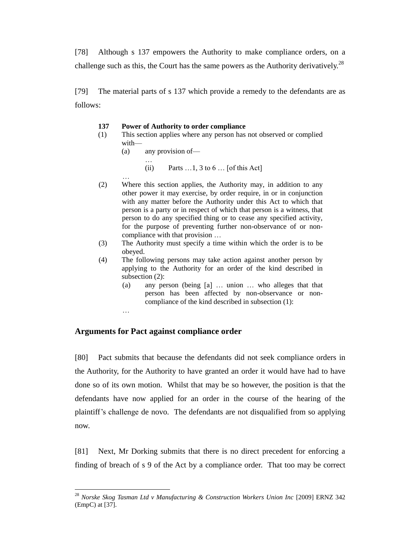[78] Although s 137 empowers the Authority to make compliance orders, on a challenge such as this, the Court has the same powers as the Authority derivatively.<sup>28</sup>

[79] The material parts of s 137 which provide a remedy to the defendants are as follows:

#### **137 Power of Authority to order compliance**

- (1) This section applies where any person has not observed or complied with—
	- (a) any provision of—

…

…

 $\overline{a}$ 

- (ii) Parts  $\dots$ 1, 3 to 6  $\dots$  [of this Act]
- (2) Where this section applies, the Authority may, in addition to any other power it may exercise, by order require, in or in conjunction with any matter before the Authority under this Act to which that person is a party or in respect of which that person is a witness, that person to do any specified thing or to cease any specified activity, for the purpose of preventing further non-observance of or noncompliance with that provision …
- (3) The Authority must specify a time within which the order is to be obeyed.
- (4) The following persons may take action against another person by applying to the Authority for an order of the kind described in subsection (2):
	- (a) any person (being [a] … union … who alleges that that person has been affected by non-observance or noncompliance of the kind described in subsection (1):

### **Arguments for Pact against compliance order**

[80] Pact submits that because the defendants did not seek compliance orders in the Authority, for the Authority to have granted an order it would have had to have done so of its own motion. Whilst that may be so however, the position is that the defendants have now applied for an order in the course of the hearing of the plaintiff's challenge de novo. The defendants are not disqualified from so applying now.

[81] Next, Mr Dorking submits that there is no direct precedent for enforcing a finding of breach of s 9 of the Act by a compliance order. That too may be correct

<sup>&</sup>lt;sup>28</sup> Norske Skog Tasman Ltd v Manufacturing & Construction Workers Union Inc [2009] ERNZ 342 (EmpC) at [37].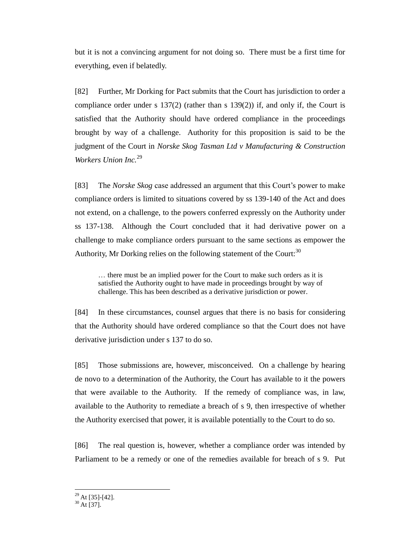but it is not a convincing argument for not doing so. There must be a first time for everything, even if belatedly.

[82] Further, Mr Dorking for Pact submits that the Court has jurisdiction to order a compliance order under s 137(2) (rather than s 139(2)) if, and only if, the Court is satisfied that the Authority should have ordered compliance in the proceedings brought by way of a challenge. Authority for this proposition is said to be the judgment of the Court in *Norske Skog Tasman Ltd v Manufacturing & Construction Workers Union Inc.*<sup>29</sup>

[83] The *Norske Skog* case addressed an argument that this Court's power to make compliance orders is limited to situations covered by ss 139-140 of the Act and does not extend, on a challenge, to the powers conferred expressly on the Authority under ss 137-138. Although the Court concluded that it had derivative power on a challenge to make compliance orders pursuant to the same sections as empower the Authority, Mr Dorking relies on the following statement of the Court:<sup>30</sup>

… there must be an implied power for the Court to make such orders as it is satisfied the Authority ought to have made in proceedings brought by way of challenge. This has been described as a derivative jurisdiction or power.

[84] In these circumstances, counsel argues that there is no basis for considering that the Authority should have ordered compliance so that the Court does not have derivative jurisdiction under s 137 to do so.

[85] Those submissions are, however, misconceived. On a challenge by hearing de novo to a determination of the Authority, the Court has available to it the powers that were available to the Authority. If the remedy of compliance was, in law, available to the Authority to remediate a breach of s 9, then irrespective of whether the Authority exercised that power, it is available potentially to the Court to do so.

[86] The real question is, however, whether a compliance order was intended by Parliament to be a remedy or one of the remedies available for breach of s 9. Put

 $\overline{a}$  $29$  At [35]-[42].

 $30$  At [37].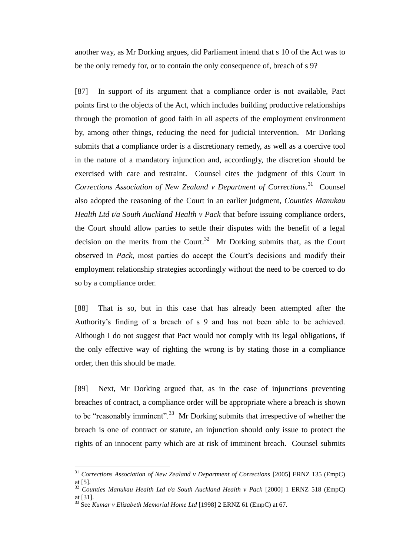another way, as Mr Dorking argues, did Parliament intend that s 10 of the Act was to be the only remedy for, or to contain the only consequence of, breach of s 9?

[87] In support of its argument that a compliance order is not available, Pact points first to the objects of the Act, which includes building productive relationships through the promotion of good faith in all aspects of the employment environment by, among other things, reducing the need for judicial intervention. Mr Dorking submits that a compliance order is a discretionary remedy, as well as a coercive tool in the nature of a mandatory injunction and, accordingly, the discretion should be exercised with care and restraint. Counsel cites the judgment of this Court in Corrections Association of New Zealand v Department of Corrections.<sup>31</sup> Counsel also adopted the reasoning of the Court in an earlier judgment, *Counties Manukau Health Ltd t/a South Auckland Health v Pack* that before issuing compliance orders, the Court should allow parties to settle their disputes with the benefit of a legal decision on the merits from the Court.<sup>32</sup> Mr Dorking submits that, as the Court observed in *Pack*, most parties do accept the Court's decisions and modify their employment relationship strategies accordingly without the need to be coerced to do so by a compliance order.

[88] That is so, but in this case that has already been attempted after the Authority's finding of a breach of s 9 and has not been able to be achieved. Although I do not suggest that Pact would not comply with its legal obligations, if the only effective way of righting the wrong is by stating those in a compliance order, then this should be made.

[89] Next, Mr Dorking argued that, as in the case of injunctions preventing breaches of contract, a compliance order will be appropriate where a breach is shown to be "reasonably imminent".<sup>33</sup> Mr Dorking submits that irrespective of whether the breach is one of contract or statute, an injunction should only issue to protect the rights of an innocent party which are at risk of imminent breach. Counsel submits

<sup>&</sup>lt;sup>31</sup> Corrections Association of New Zealand v Department of Corrections [2005] ERNZ 135 (EmpC) at [5].

<sup>&</sup>lt;sup>32</sup> Counties Manukau Health Ltd t/a South Auckland Health v Pack [2000] 1 ERNZ 518 (EmpC) at [31].

<sup>33</sup> See *Kumar v Elizabeth Memorial Home Ltd* [1998] 2 ERNZ 61 (EmpC) at 67.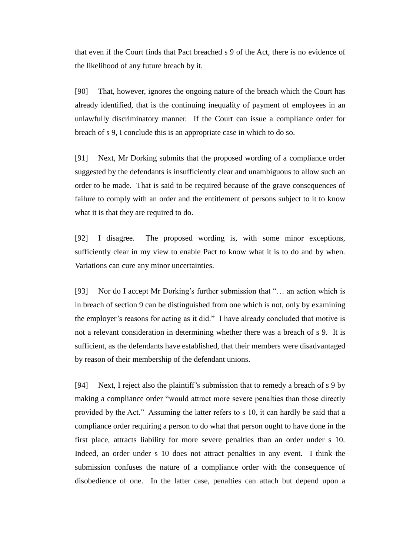that even if the Court finds that Pact breached s 9 of the Act, there is no evidence of the likelihood of any future breach by it.

[90] That, however, ignores the ongoing nature of the breach which the Court has already identified, that is the continuing inequality of payment of employees in an unlawfully discriminatory manner. If the Court can issue a compliance order for breach of s 9, I conclude this is an appropriate case in which to do so.

[91] Next, Mr Dorking submits that the proposed wording of a compliance order suggested by the defendants is insufficiently clear and unambiguous to allow such an order to be made. That is said to be required because of the grave consequences of failure to comply with an order and the entitlement of persons subject to it to know what it is that they are required to do.

[92] I disagree. The proposed wording is, with some minor exceptions, sufficiently clear in my view to enable Pact to know what it is to do and by when. Variations can cure any minor uncertainties.

[93] Nor do I accept Mr Dorking's further submission that "… an action which is in breach of section 9 can be distinguished from one which is not, only by examining the employer's reasons for acting as it did." I have already concluded that motive is not a relevant consideration in determining whether there was a breach of s 9. It is sufficient, as the defendants have established, that their members were disadvantaged by reason of their membership of the defendant unions.

[94] Next, I reject also the plaintiff's submission that to remedy a breach of s 9 by making a compliance order "would attract more severe penalties than those directly provided by the Act." Assuming the latter refers to s 10, it can hardly be said that a compliance order requiring a person to do what that person ought to have done in the first place, attracts liability for more severe penalties than an order under s 10. Indeed, an order under s 10 does not attract penalties in any event. I think the submission confuses the nature of a compliance order with the consequence of disobedience of one. In the latter case, penalties can attach but depend upon a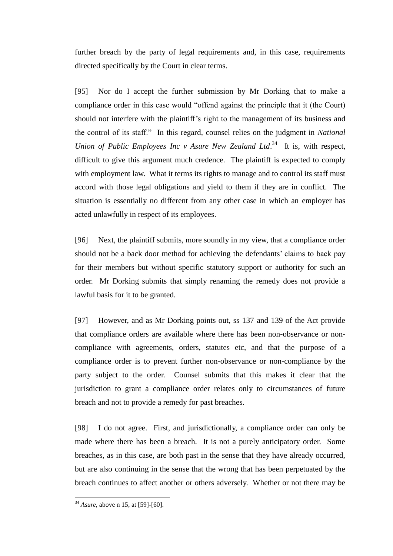further breach by the party of legal requirements and, in this case, requirements directed specifically by the Court in clear terms.

[95] Nor do I accept the further submission by Mr Dorking that to make a compliance order in this case would "offend against the principle that it (the Court) should not interfere with the plaintiff's right to the management of its business and the control of its staff." In this regard, counsel relies on the judgment in *National*  Union of Public Employees Inc v Asure New Zealand Ltd.<sup>34</sup> It is, with respect, difficult to give this argument much credence. The plaintiff is expected to comply with employment law. What it terms its rights to manage and to control its staff must accord with those legal obligations and yield to them if they are in conflict. The situation is essentially no different from any other case in which an employer has acted unlawfully in respect of its employees.

[96] Next, the plaintiff submits, more soundly in my view, that a compliance order should not be a back door method for achieving the defendants' claims to back pay for their members but without specific statutory support or authority for such an order. Mr Dorking submits that simply renaming the remedy does not provide a lawful basis for it to be granted.

[97] However, and as Mr Dorking points out, ss 137 and 139 of the Act provide that compliance orders are available where there has been non-observance or noncompliance with agreements, orders, statutes etc, and that the purpose of a compliance order is to prevent further non-observance or non-compliance by the party subject to the order. Counsel submits that this makes it clear that the jurisdiction to grant a compliance order relates only to circumstances of future breach and not to provide a remedy for past breaches.

[98] I do not agree. First, and jurisdictionally, a compliance order can only be made where there has been a breach. It is not a purely anticipatory order. Some breaches, as in this case, are both past in the sense that they have already occurred, but are also continuing in the sense that the wrong that has been perpetuated by the breach continues to affect another or others adversely. Whether or not there may be

<sup>34</sup> *Asure*, above n 15, at [59]-[60].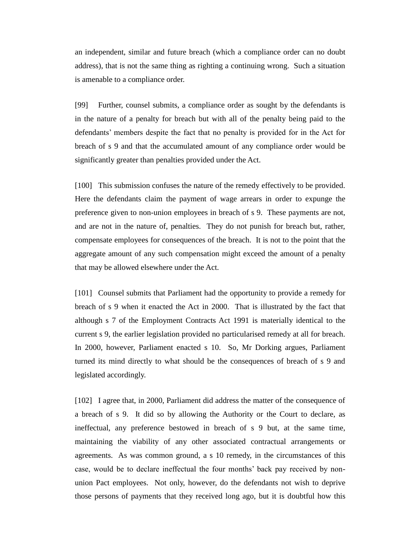an independent, similar and future breach (which a compliance order can no doubt address), that is not the same thing as righting a continuing wrong. Such a situation is amenable to a compliance order.

[99] Further, counsel submits, a compliance order as sought by the defendants is in the nature of a penalty for breach but with all of the penalty being paid to the defendants' members despite the fact that no penalty is provided for in the Act for breach of s 9 and that the accumulated amount of any compliance order would be significantly greater than penalties provided under the Act.

[100] This submission confuses the nature of the remedy effectively to be provided. Here the defendants claim the payment of wage arrears in order to expunge the preference given to non-union employees in breach of s 9. These payments are not, and are not in the nature of, penalties. They do not punish for breach but, rather, compensate employees for consequences of the breach. It is not to the point that the aggregate amount of any such compensation might exceed the amount of a penalty that may be allowed elsewhere under the Act.

[101] Counsel submits that Parliament had the opportunity to provide a remedy for breach of s 9 when it enacted the Act in 2000. That is illustrated by the fact that although s 7 of the Employment Contracts Act 1991 is materially identical to the current s 9, the earlier legislation provided no particularised remedy at all for breach. In 2000, however, Parliament enacted s 10. So, Mr Dorking argues, Parliament turned its mind directly to what should be the consequences of breach of s 9 and legislated accordingly.

[102] I agree that, in 2000, Parliament did address the matter of the consequence of a breach of s 9. It did so by allowing the Authority or the Court to declare, as ineffectual, any preference bestowed in breach of s 9 but, at the same time, maintaining the viability of any other associated contractual arrangements or agreements. As was common ground, a s 10 remedy, in the circumstances of this case, would be to declare ineffectual the four months' back pay received by nonunion Pact employees. Not only, however, do the defendants not wish to deprive those persons of payments that they received long ago, but it is doubtful how this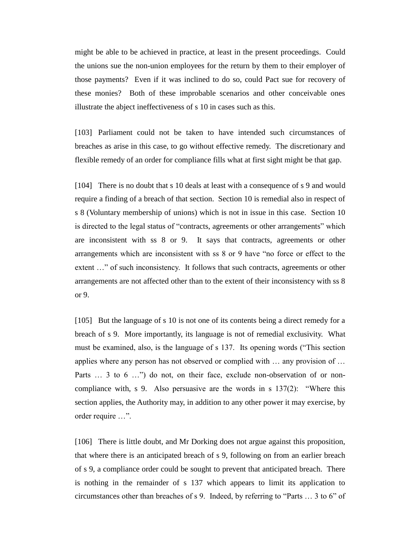might be able to be achieved in practice, at least in the present proceedings. Could the unions sue the non-union employees for the return by them to their employer of those payments? Even if it was inclined to do so, could Pact sue for recovery of these monies? Both of these improbable scenarios and other conceivable ones illustrate the abject ineffectiveness of s 10 in cases such as this.

[103] Parliament could not be taken to have intended such circumstances of breaches as arise in this case, to go without effective remedy. The discretionary and flexible remedy of an order for compliance fills what at first sight might be that gap.

[104] There is no doubt that s 10 deals at least with a consequence of s 9 and would require a finding of a breach of that section. Section 10 is remedial also in respect of s 8 (Voluntary membership of unions) which is not in issue in this case. Section 10 is directed to the legal status of "contracts, agreements or other arrangements" which are inconsistent with ss 8 or 9. It says that contracts, agreements or other arrangements which are inconsistent with ss 8 or 9 have "no force or effect to the extent …" of such inconsistency. It follows that such contracts, agreements or other arrangements are not affected other than to the extent of their inconsistency with ss 8 or 9.

[105] But the language of s 10 is not one of its contents being a direct remedy for a breach of s 9. More importantly, its language is not of remedial exclusivity. What must be examined, also, is the language of s 137. Its opening words ("This section applies where any person has not observed or complied with … any provision of … Parts ... 3 to 6 ...") do not, on their face, exclude non-observation of or noncompliance with, s 9. Also persuasive are the words in s 137(2): "Where this section applies, the Authority may, in addition to any other power it may exercise, by order require …".

[106] There is little doubt, and Mr Dorking does not argue against this proposition, that where there is an anticipated breach of s 9, following on from an earlier breach of s 9, a compliance order could be sought to prevent that anticipated breach. There is nothing in the remainder of s 137 which appears to limit its application to circumstances other than breaches of s 9. Indeed, by referring to "Parts … 3 to 6" of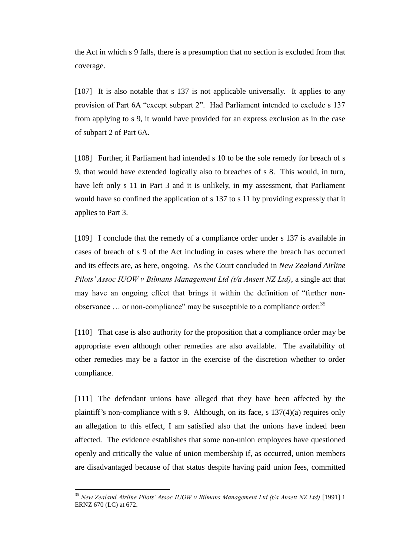the Act in which s 9 falls, there is a presumption that no section is excluded from that coverage.

[107] It is also notable that s 137 is not applicable universally. It applies to any provision of Part 6A "except subpart 2". Had Parliament intended to exclude s 137 from applying to s 9, it would have provided for an express exclusion as in the case of subpart 2 of Part 6A.

[108] Further, if Parliament had intended s 10 to be the sole remedy for breach of s 9, that would have extended logically also to breaches of s 8. This would, in turn, have left only s 11 in Part 3 and it is unlikely, in my assessment, that Parliament would have so confined the application of s 137 to s 11 by providing expressly that it applies to Part 3.

[109] I conclude that the remedy of a compliance order under s 137 is available in cases of breach of s 9 of the Act including in cases where the breach has occurred and its effects are, as here, ongoing. As the Court concluded in *New Zealand Airline Pilots' Assoc IUOW v Bilmans Management Ltd (t/a Ansett NZ Ltd)*, a single act that may have an ongoing effect that brings it within the definition of "further nonobservance  $\ldots$  or non-compliance" may be susceptible to a compliance order.<sup>35</sup>

[110] That case is also authority for the proposition that a compliance order may be appropriate even although other remedies are also available. The availability of other remedies may be a factor in the exercise of the discretion whether to order compliance.

[111] The defendant unions have alleged that they have been affected by the plaintiff's non-compliance with s 9. Although, on its face, s 137(4)(a) requires only an allegation to this effect, I am satisfied also that the unions have indeed been affected. The evidence establishes that some non-union employees have questioned openly and critically the value of union membership if, as occurred, union members are disadvantaged because of that status despite having paid union fees, committed

<sup>&</sup>lt;sup>35</sup> New Zealand Airline Pilots' Assoc IUOW v Bilmans Management Ltd (t/a Ansett NZ Ltd) [1991] 1 ERNZ 670 (LC) at 672.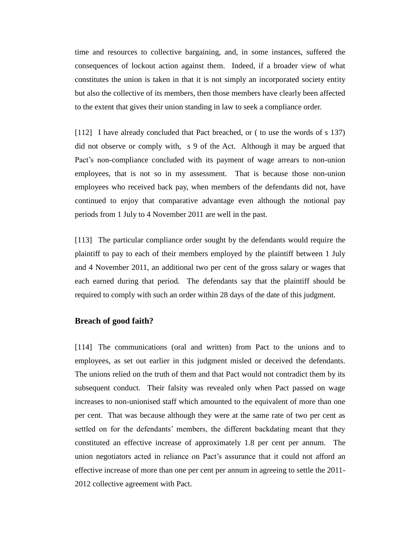time and resources to collective bargaining, and, in some instances, suffered the consequences of lockout action against them. Indeed, if a broader view of what constitutes the union is taken in that it is not simply an incorporated society entity but also the collective of its members, then those members have clearly been affected to the extent that gives their union standing in law to seek a compliance order.

[112] I have already concluded that Pact breached, or ( to use the words of s 137) did not observe or comply with, s 9 of the Act. Although it may be argued that Pact's non-compliance concluded with its payment of wage arrears to non-union employees, that is not so in my assessment. That is because those non-union employees who received back pay, when members of the defendants did not, have continued to enjoy that comparative advantage even although the notional pay periods from 1 July to 4 November 2011 are well in the past.

[113] The particular compliance order sought by the defendants would require the plaintiff to pay to each of their members employed by the plaintiff between 1 July and 4 November 2011, an additional two per cent of the gross salary or wages that each earned during that period. The defendants say that the plaintiff should be required to comply with such an order within 28 days of the date of this judgment.

## **Breach of good faith?**

[114] The communications (oral and written) from Pact to the unions and to employees, as set out earlier in this judgment misled or deceived the defendants. The unions relied on the truth of them and that Pact would not contradict them by its subsequent conduct. Their falsity was revealed only when Pact passed on wage increases to non-unionised staff which amounted to the equivalent of more than one per cent. That was because although they were at the same rate of two per cent as settled on for the defendants' members, the different backdating meant that they constituted an effective increase of approximately 1.8 per cent per annum. The union negotiators acted in reliance on Pact's assurance that it could not afford an effective increase of more than one per cent per annum in agreeing to settle the 2011- 2012 collective agreement with Pact.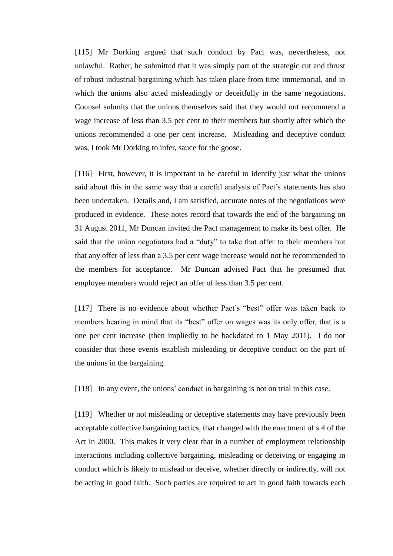[115] Mr Dorking argued that such conduct by Pact was, nevertheless, not unlawful. Rather, he submitted that it was simply part of the strategic cut and thrust of robust industrial bargaining which has taken place from time immemorial, and in which the unions also acted misleadingly or deceitfully in the same negotiations. Counsel submits that the unions themselves said that they would not recommend a wage increase of less than 3.5 per cent to their members but shortly after which the unions recommended a one per cent increase. Misleading and deceptive conduct was, I took Mr Dorking to infer, sauce for the goose.

[116] First, however, it is important to be careful to identify just what the unions said about this in the same way that a careful analysis of Pact's statements has also been undertaken. Details and, I am satisfied, accurate notes of the negotiations were produced in evidence. These notes record that towards the end of the bargaining on 31 August 2011, Mr Duncan invited the Pact management to make its best offer. He said that the union negotiators had a "duty" to take that offer to their members but that any offer of less than a 3.5 per cent wage increase would not be recommended to the members for acceptance. Mr Duncan advised Pact that he presumed that employee members would reject an offer of less than 3.5 per cent.

[117] There is no evidence about whether Pact's "best" offer was taken back to members bearing in mind that its "best" offer on wages was its only offer, that is a one per cent increase (then impliedly to be backdated to 1 May 2011). I do not consider that these events establish misleading or deceptive conduct on the part of the unions in the bargaining.

[118] In any event, the unions' conduct in bargaining is not on trial in this case.

[119] Whether or not misleading or deceptive statements may have previously been acceptable collective bargaining tactics, that changed with the enactment of s 4 of the Act in 2000. This makes it very clear that in a number of employment relationship interactions including collective bargaining, misleading or deceiving or engaging in conduct which is likely to mislead or deceive, whether directly or indirectly, will not be acting in good faith. Such parties are required to act in good faith towards each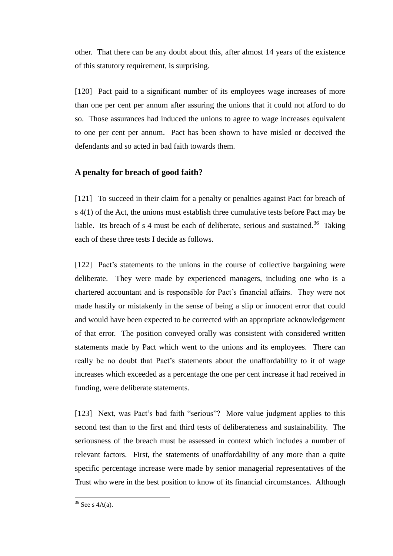other. That there can be any doubt about this, after almost 14 years of the existence of this statutory requirement, is surprising.

[120] Pact paid to a significant number of its employees wage increases of more than one per cent per annum after assuring the unions that it could not afford to do so. Those assurances had induced the unions to agree to wage increases equivalent to one per cent per annum. Pact has been shown to have misled or deceived the defendants and so acted in bad faith towards them.

## **A penalty for breach of good faith?**

[121] To succeed in their claim for a penalty or penalties against Pact for breach of s 4(1) of the Act, the unions must establish three cumulative tests before Pact may be liable. Its breach of s 4 must be each of deliberate, serious and sustained.<sup>36</sup> Taking each of these three tests I decide as follows.

[122] Pact's statements to the unions in the course of collective bargaining were deliberate. They were made by experienced managers, including one who is a chartered accountant and is responsible for Pact's financial affairs. They were not made hastily or mistakenly in the sense of being a slip or innocent error that could and would have been expected to be corrected with an appropriate acknowledgement of that error. The position conveyed orally was consistent with considered written statements made by Pact which went to the unions and its employees. There can really be no doubt that Pact's statements about the unaffordability to it of wage increases which exceeded as a percentage the one per cent increase it had received in funding, were deliberate statements.

[123] Next, was Pact's bad faith "serious"? More value judgment applies to this second test than to the first and third tests of deliberateness and sustainability. The seriousness of the breach must be assessed in context which includes a number of relevant factors. First, the statements of unaffordability of any more than a quite specific percentage increase were made by senior managerial representatives of the Trust who were in the best position to know of its financial circumstances. Although

 $36$  See s 4A(a).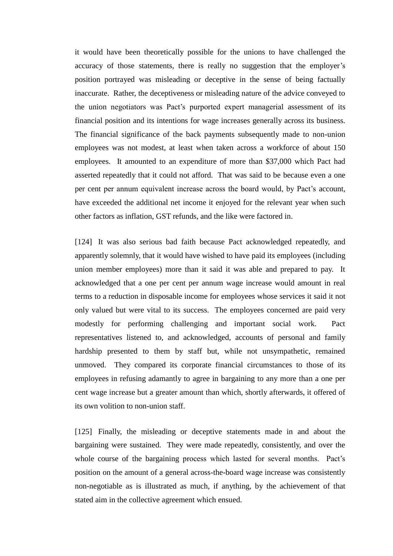it would have been theoretically possible for the unions to have challenged the accuracy of those statements, there is really no suggestion that the employer's position portrayed was misleading or deceptive in the sense of being factually inaccurate. Rather, the deceptiveness or misleading nature of the advice conveyed to the union negotiators was Pact's purported expert managerial assessment of its financial position and its intentions for wage increases generally across its business. The financial significance of the back payments subsequently made to non-union employees was not modest, at least when taken across a workforce of about 150 employees. It amounted to an expenditure of more than \$37,000 which Pact had asserted repeatedly that it could not afford. That was said to be because even a one per cent per annum equivalent increase across the board would, by Pact's account, have exceeded the additional net income it enjoyed for the relevant year when such other factors as inflation, GST refunds, and the like were factored in.

[124] It was also serious bad faith because Pact acknowledged repeatedly, and apparently solemnly, that it would have wished to have paid its employees (including union member employees) more than it said it was able and prepared to pay. It acknowledged that a one per cent per annum wage increase would amount in real terms to a reduction in disposable income for employees whose services it said it not only valued but were vital to its success. The employees concerned are paid very modestly for performing challenging and important social work. Pact representatives listened to, and acknowledged, accounts of personal and family hardship presented to them by staff but, while not unsympathetic, remained unmoved. They compared its corporate financial circumstances to those of its employees in refusing adamantly to agree in bargaining to any more than a one per cent wage increase but a greater amount than which, shortly afterwards, it offered of its own volition to non-union staff.

[125] Finally, the misleading or deceptive statements made in and about the bargaining were sustained. They were made repeatedly, consistently, and over the whole course of the bargaining process which lasted for several months. Pact's position on the amount of a general across-the-board wage increase was consistently non-negotiable as is illustrated as much, if anything, by the achievement of that stated aim in the collective agreement which ensued.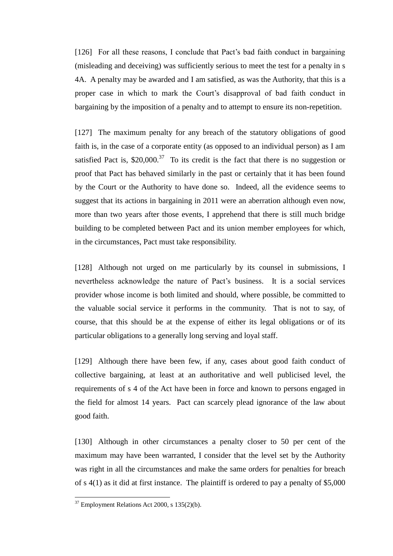[126] For all these reasons, I conclude that Pact's bad faith conduct in bargaining (misleading and deceiving) was sufficiently serious to meet the test for a penalty in s 4A. A penalty may be awarded and I am satisfied, as was the Authority, that this is a proper case in which to mark the Court's disapproval of bad faith conduct in bargaining by the imposition of a penalty and to attempt to ensure its non-repetition.

[127] The maximum penalty for any breach of the statutory obligations of good faith is, in the case of a corporate entity (as opposed to an individual person) as I am satisfied Pact is,  $$20,000$ .<sup>37</sup> To its credit is the fact that there is no suggestion or proof that Pact has behaved similarly in the past or certainly that it has been found by the Court or the Authority to have done so. Indeed, all the evidence seems to suggest that its actions in bargaining in 2011 were an aberration although even now, more than two years after those events, I apprehend that there is still much bridge building to be completed between Pact and its union member employees for which, in the circumstances, Pact must take responsibility.

[128] Although not urged on me particularly by its counsel in submissions, I nevertheless acknowledge the nature of Pact's business. It is a social services provider whose income is both limited and should, where possible, be committed to the valuable social service it performs in the community. That is not to say, of course, that this should be at the expense of either its legal obligations or of its particular obligations to a generally long serving and loyal staff.

[129] Although there have been few, if any, cases about good faith conduct of collective bargaining, at least at an authoritative and well publicised level, the requirements of s 4 of the Act have been in force and known to persons engaged in the field for almost 14 years. Pact can scarcely plead ignorance of the law about good faith.

[130] Although in other circumstances a penalty closer to 50 per cent of the maximum may have been warranted, I consider that the level set by the Authority was right in all the circumstances and make the same orders for penalties for breach of s 4(1) as it did at first instance. The plaintiff is ordered to pay a penalty of \$5,000

 $37$  Employment Relations Act 2000, s 135(2)(b).